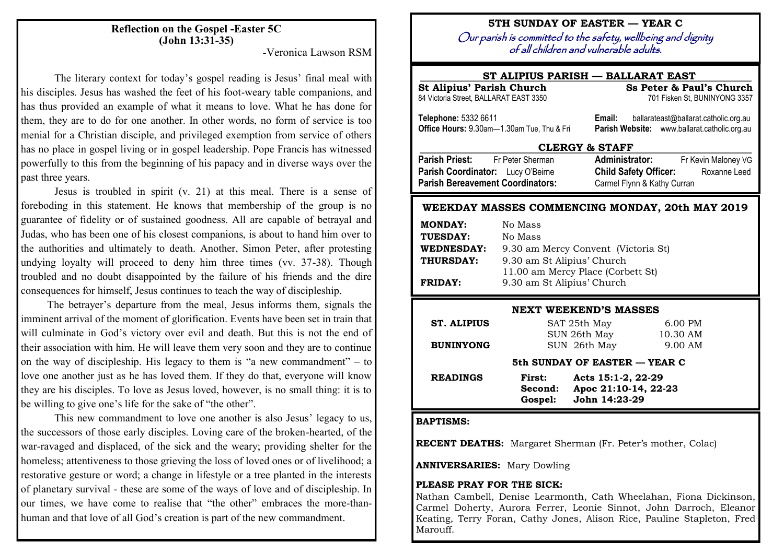# **Reflection on the Gospel -Easter 5C (John 13:31-35)**

-Veronica Lawson RSM

The literary context for today's gospel reading is Jesus' final meal with his disciples. Jesus has washed the feet of his foot-weary table companions, and has thus provided an example of what it means to love. What he has done for them, they are to do for one another. In other words, no form of service is too menial for a Christian disciple, and privileged exemption from service of others has no place in gospel living or in gospel leadership. Pope Francis has witnessed powerfully to this from the beginning of his papacy and in diverse ways over the past three years.

Jesus is troubled in spirit (v. 21) at this meal. There is a sense of foreboding in this statement. He knows that membership of the group is no guarantee of fidelity or of sustained goodness. All are capable of betrayal and Judas, who has been one of his closest companions, is about to hand him over to the authorities and ultimately to death. Another, Simon Peter, after protesting undying loyalty will proceed to deny him three times (vv. 37-38). Though troubled and no doubt disappointed by the failure of his friends and the dire consequences for himself, Jesus continues to teach the way of discipleship.

The betrayer's departure from the meal, Jesus informs them, signals the imminent arrival of the moment of glorification. Events have been set in train that will culminate in God's victory over evil and death. But this is not the end of their association with him. He will leave them very soon and they are to continue on the way of discipleship. His legacy to them is "a new commandment" – to love one another just as he has loved them. If they do that, everyone will know they are his disciples. To love as Jesus loved, however, is no small thing: it is to be willing to give one's life for the sake of "the other".

This new commandment to love one another is also Jesus' legacy to us, the successors of those early disciples. Loving care of the broken-hearted, of the war-ravaged and displaced, of the sick and the weary; providing shelter for the homeless; attentiveness to those grieving the loss of loved ones or of livelihood; a restorative gesture or word; a change in lifestyle or a tree planted in the interests of planetary survival - these are some of the ways of love and of discipleship. In our times, we have come to realise that "the other" embraces the more-thanhuman and that love of all God's creation is part of the new commandment.

## **5TH SUNDAY OF EASTER — YEAR C**

Our parish is committed to the safety, wellbeing and dignity of all children and vulnerable adults.

## **ST ALIPIUS PARISH — BALLARAT EAST .**

| Ss Peter & Paul's Church<br><b>St Alipius' Parish Church</b>       |                                                                                                 |  |  |  |
|--------------------------------------------------------------------|-------------------------------------------------------------------------------------------------|--|--|--|
| 84 Victoria Street, BALLARAT EAST 3350                             | 701 Fisken St, BUNINYONG 3357                                                                   |  |  |  |
| Telephone: 5332 6611<br>Office Hours: 9.30am-1.30am Tue, Thu & Fri | ballarateast@ballarat.catholic.org.au<br>Email:<br>Parish Website: www.ballarat.catholic.org.au |  |  |  |
| <b>CLERGY &amp; STAFF</b>                                          |                                                                                                 |  |  |  |
| Parish Priest: Fr Peter Sherman                                    | <b>Administrator:</b><br>Fr Kevin Maloney VG                                                    |  |  |  |
| Parish Coordinator: Lucy O'Beirne                                  | <b>Child Safety Officer:</b><br>Roxanne Leed                                                    |  |  |  |
| <b>Parish Bereavement Coordinators:</b>                            | Carmel Flynn & Kathy Curran                                                                     |  |  |  |
|                                                                    |                                                                                                 |  |  |  |

## **WEEKDAY MASSES COMMENCING MONDAY, 20th MAY 2019**

| <b>MONDAY:</b>    | No Mass                             |  |  |
|-------------------|-------------------------------------|--|--|
| TUESDAY:          | No Mass                             |  |  |
| <b>WEDNESDAY:</b> | 9.30 am Mercy Convent (Victoria St) |  |  |
| THURSDAY:         | 9.30 am St Alipius' Church          |  |  |
|                   | 11.00 am Mercy Place (Corbett St)   |  |  |
| <b>FRIDAY:</b>    | 9.30 am St Alipius' Church          |  |  |

#### **NEXT WEEKEND'S MASSES**

| <b>ST. ALIPIUS</b>            | SAT 25th May |                      | 6.00 PM  |  |  |
|-------------------------------|--------------|----------------------|----------|--|--|
|                               | SUN 26th May |                      | 10.30 AM |  |  |
| <b>BUNINYONG</b>              |              | SUN 26th May         | 9.00 AM  |  |  |
| 5th SUNDAY OF EASTER — YEAR C |              |                      |          |  |  |
| <b>READINGS</b>               | First:       | Acts 15:1-2, 22-29   |          |  |  |
|                               | Second:      | Apoc 21:10-14, 22-23 |          |  |  |
|                               | Gospel:      | John 14:23-29        |          |  |  |

#### **BAPTISMS:**

**RECENT DEATHS:** Margaret Sherman (Fr. Peter's mother, Colac)

**ANNIVERSARIES:** Mary Dowling

### **PLEASE PRAY FOR THE SICK:**

Nathan Cambell, Denise Learmonth, Cath Wheelahan, Fiona Dickinson, Carmel Doherty, Aurora Ferrer, Leonie Sinnot, John Darroch, Eleanor Keating, Terry Foran, Cathy Jones, Alison Rice, Pauline Stapleton, Fred Marouff.